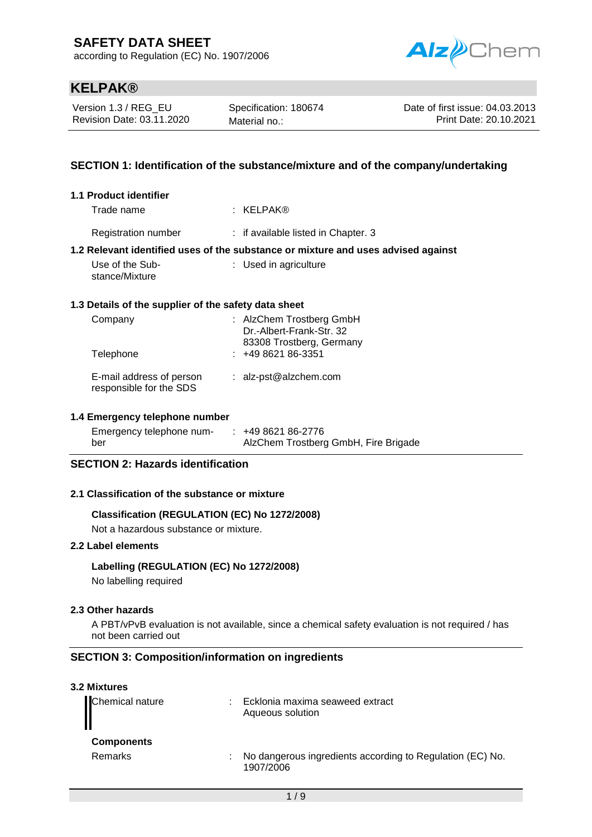according to Regulation (EC) No. 1907/2006



## **KELPAK®**

Version 1.3 / REG\_EU Revision Date: 03.11.2020

Specification: 180674 Material no.:

Date of first issue: 04.03.2013 Print Date: 20.10.2021

## **SECTION 1: Identification of the substance/mixture and of the company/undertaking**

| 1.1 Product identifier                               |                                                                                   |
|------------------------------------------------------|-----------------------------------------------------------------------------------|
| Trade name                                           | : KELPAK®                                                                         |
| Registration number                                  | : if available listed in Chapter. 3                                               |
|                                                      | 1.2 Relevant identified uses of the substance or mixture and uses advised against |
| Use of the Sub-<br>stance/Mixture                    | : Used in agriculture                                                             |
| 1.3 Details of the supplier of the safety data sheet |                                                                                   |
| Company                                              | : AlzChem Trostberg GmbH<br>Dr.-Albert-Frank-Str. 32<br>83308 Trostberg, Germany  |
| Telephone                                            | $: 49862186-3351$                                                                 |
| E-mail address of person                             | : $alz-pst@alzchem.com$                                                           |

## **1.4 Emergency telephone number**

responsible for the SDS

| Emergency telephone num- | $: 49862186-2776$                    |
|--------------------------|--------------------------------------|
| ber                      | AlzChem Trostberg GmbH, Fire Brigade |

## **SECTION 2: Hazards identification**

#### **2.1 Classification of the substance or mixture**

## **Classification (REGULATION (EC) No 1272/2008)**

Not a hazardous substance or mixture.

## **2.2 Label elements**

#### **Labelling (REGULATION (EC) No 1272/2008)**

No labelling required

#### **2.3 Other hazards**

A PBT/vPvB evaluation is not available, since a chemical safety evaluation is not required / has not been carried out

#### **SECTION 3: Composition/information on ingredients**

#### **3.2 Mixtures**

| Chemical nature   | Ecklonia maxima seaweed extract<br>Aqueous solution                    |
|-------------------|------------------------------------------------------------------------|
| <b>Components</b> |                                                                        |
| Remarks           | No dangerous ingredients according to Regulation (EC) No.<br>1907/2006 |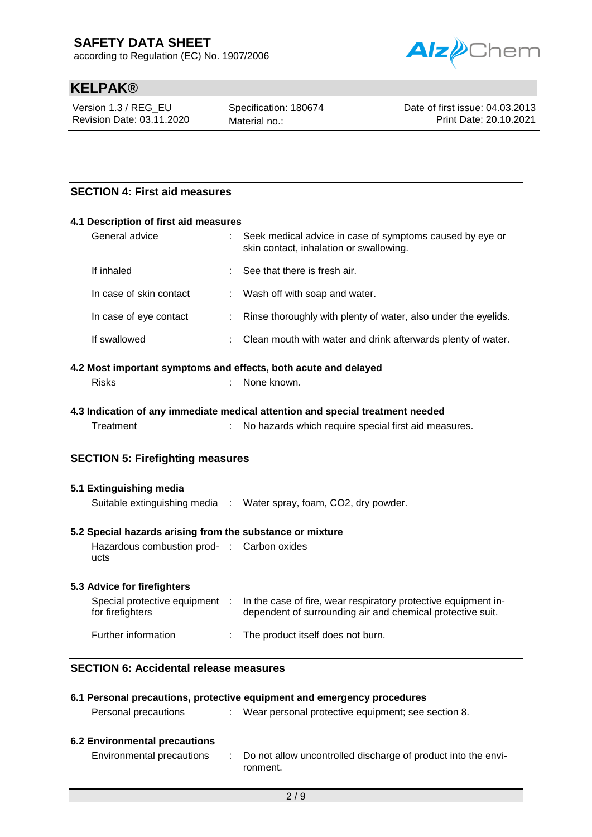according to Regulation (EC) No. 1907/2006



## **KELPAK®**

Version 1.3 / REG\_EU Revision Date: 03.11.2020 Specification: 180674 Material no.:

Date of first issue: 04.03.2013 Print Date: 20.10.2021

## **SECTION 4: First aid measures**

| 4.1 Description of first aid measures |  |                                                                                                     |  |
|---------------------------------------|--|-----------------------------------------------------------------------------------------------------|--|
| General advice                        |  | Seek medical advice in case of symptoms caused by eye or<br>skin contact, inhalation or swallowing. |  |
| If inhaled                            |  | $\therefore$ See that there is fresh air.                                                           |  |
| In case of skin contact               |  | : Wash off with soap and water.                                                                     |  |
| In case of eye contact                |  | : Rinse thoroughly with plenty of water, also under the eyelids.                                    |  |
| If swallowed                          |  | : Clean mouth with water and drink afterwards plenty of water.                                      |  |
|                                       |  | 4.2 Most important symptoms and effects, both acute and delayed                                     |  |
| <b>Risks</b>                          |  | : None known.                                                                                       |  |
|                                       |  | 4.3 Indication of any immediate medical attention and special treatment needed                      |  |
| Treatment                             |  | No hazards which require special first aid measures.                                                |  |

## **SECTION 5: Firefighting measures**

#### **5.1 Extinguishing media**

Suitable extinguishing media : Water spray, foam, CO2, dry powder.

#### **5.2 Special hazards arising from the substance or mixture**

Hazardous combustion prod-: Carbon oxides ucts

#### **5.3 Advice for firefighters**

| Special protective equipment<br>for firefighters | In the case of fire, wear respiratory protective equipment in-<br>dependent of surrounding air and chemical protective suit. |
|--------------------------------------------------|------------------------------------------------------------------------------------------------------------------------------|
| Further information                              | : The product itself does not burn.                                                                                          |

## **SECTION 6: Accidental release measures**

|                      | 6.1 Personal precautions, protective equipment and emergency procedures |
|----------------------|-------------------------------------------------------------------------|
| Personal precautions | Wear personal protective equipment; see section 8.                      |

#### **6.2 Environmental precautions**

| Environmental precautions | Do not allow uncontrolled discharge of product into the envi- |
|---------------------------|---------------------------------------------------------------|
|                           | ronment.                                                      |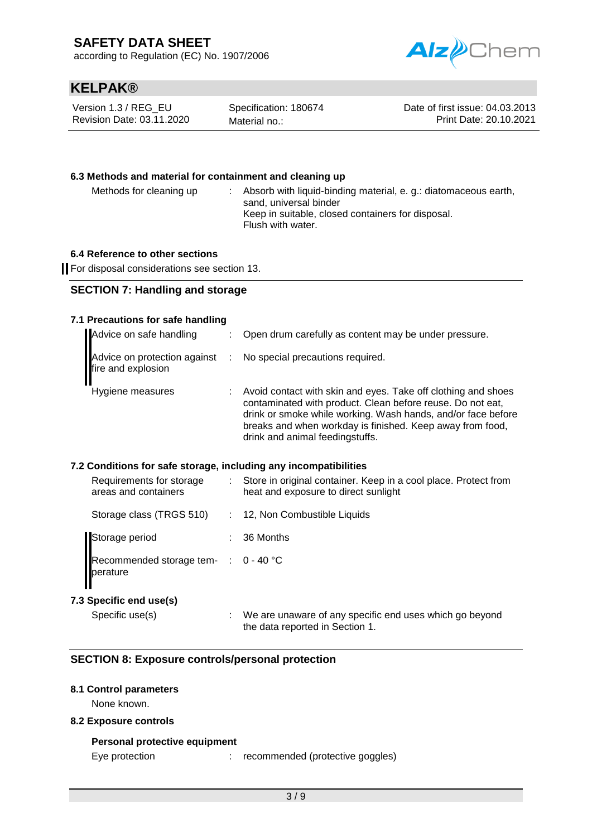according to Regulation (EC) No. 1907/2006



## **KELPAK®**

Version 1.3 / REG\_EU Revision Date: 03.11.2020 Specification: 180674 Material no.:

Date of first issue: 04.03.2013 Print Date: 20.10.2021

## **6.3 Methods and material for containment and cleaning up**

Methods for cleaning up : Absorb with liquid-binding material, e. g.: diatomaceous earth, sand, universal binder Keep in suitable, closed containers for disposal. Flush with water.

## **6.4 Reference to other sections**

For disposal considerations see section 13.

## **SECTION 7: Handling and storage**

#### **7.1 Precautions for safe handling**

| Advice on safe handling                            | Open drum carefully as content may be under pressure.                                                                                                                                                                                                                                       |
|----------------------------------------------------|---------------------------------------------------------------------------------------------------------------------------------------------------------------------------------------------------------------------------------------------------------------------------------------------|
| Advice on protection against<br>fire and explosion | No special precautions required.                                                                                                                                                                                                                                                            |
| Hygiene measures                                   | Avoid contact with skin and eyes. Take off clothing and shoes<br>contaminated with product. Clean before reuse. Do not eat,<br>drink or smoke while working. Wash hands, and/or face before<br>breaks and when workday is finished. Keep away from food,<br>drink and animal feedingstuffs. |

## **7.2 Conditions for safe storage, including any incompatibilities**

| Requirements for storage<br>areas and containers                               | Store in original container. Keep in a cool place. Protect from<br>heat and exposure to direct sunlight |
|--------------------------------------------------------------------------------|---------------------------------------------------------------------------------------------------------|
| Storage class (TRGS 510)                                                       | 12, Non Combustible Liquids                                                                             |
|                                                                                | 36 Months                                                                                               |
| Storage period : 36 Months<br>Recommended storage tem- : 0 - 40 °C<br>perature |                                                                                                         |

## **7.3 Specific end use(s)**

Specific use(s) : We are unaware of any specific end uses which go beyond the data reported in Section 1.

## **SECTION 8: Exposure controls/personal protection**

## **8.1 Control parameters**

None known.

## **8.2 Exposure controls**

## **Personal protective equipment**

Eye protection : recommended (protective goggles)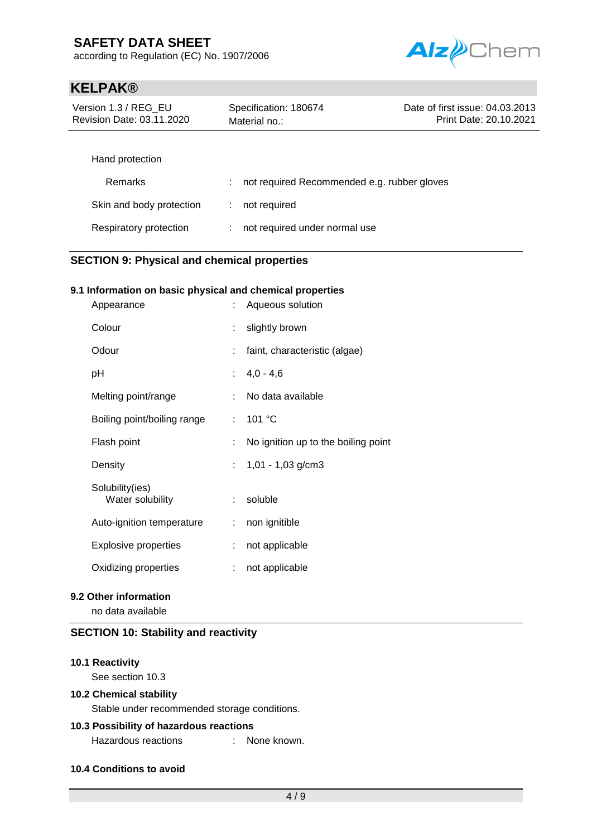according to Regulation (EC) No. 1907/2006



## **KELPAK®**

| Version 1.3 / REG EU      | Specification: 180674 | Date of first issue: 04.03.2013 |
|---------------------------|-----------------------|---------------------------------|
| Revision Date: 03.11.2020 | Material no.:         | Print Date: 20.10.2021          |
|                           |                       |                                 |

## Hand protection

| Remarks                  | : not required Recommended e.g. rubber gloves |
|--------------------------|-----------------------------------------------|
| Skin and body protection | : not required                                |
| Respiratory protection   | : not required under normal use               |

## **SECTION 9: Physical and chemical properties**

## **9.1 Information on basic physical and chemical properties**

| Appearance                          |    | Aqueous solution                    |
|-------------------------------------|----|-------------------------------------|
| Colour                              |    | slightly brown                      |
| Odour                               |    | faint, characteristic (algae)       |
| рH                                  |    | $: 4.0 - 4.6$                       |
| Melting point/range                 |    | No data available                   |
| Boiling point/boiling range         |    | : 101 °C                            |
| Flash point                         | ÷  | No ignition up to the boiling point |
| Density                             | t. | $1,01 - 1,03$ g/cm3                 |
| Solubility(ies)<br>Water solubility | t. | soluble                             |
| Auto-ignition temperature           | t. | non ignitible                       |
| <b>Explosive properties</b>         |    | not applicable                      |
| Oxidizing properties                |    | not applicable                      |

## **9.2 Other information**

no data available

## **SECTION 10: Stability and reactivity**

## **10.1 Reactivity**

See section 10.3

#### **10.2 Chemical stability**

Stable under recommended storage conditions.

## **10.3 Possibility of hazardous reactions**

Hazardous reactions : None known.

#### **10.4 Conditions to avoid**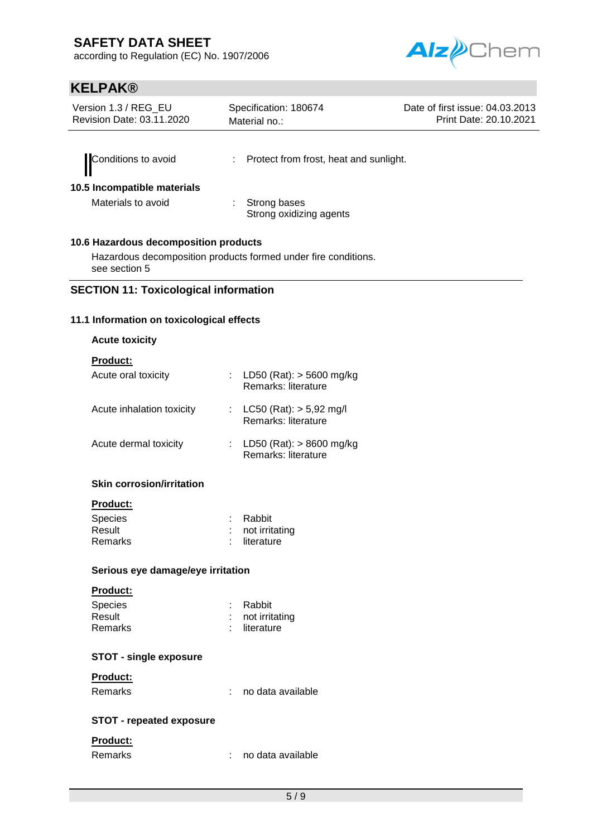according to Regulation (EC) No. 1907/2006



# **KELPAK®**

| Version 1.3 / REG EU      |
|---------------------------|
| Revision Date: 03.11.2020 |

Specification: 180674 Material no.:

Date of first issue: 04.03.2013 Print Date: 20.10.2021

| Conditions to avoid | : Protect from frost, heat and sunlight. |
|---------------------|------------------------------------------|
|                     |                                          |

#### **10.5 Incompatible materials** Materials to avoid

| : Strong bases          |
|-------------------------|
| Strong oxidizing agents |

## **10.6 Hazardous decomposition products**

Hazardous decomposition products formed under fire conditions. see section 5

## **SECTION 11: Toxicological information**

## **11.1 Information on toxicological effects**

#### **Acute toxicity**

## **Product:**

| Acute oral toxicity       | : LD50 (Rat): $>$ 5600 mg/kg<br>Remarks: literature  |
|---------------------------|------------------------------------------------------|
| Acute inhalation toxicity | : $LC50$ (Rat): $> 5,92$ mg/l<br>Remarks: literature |
| Acute dermal toxicity     | : LD50 (Rat): $> 8600$ mg/kg<br>Remarks: literature  |

## **Skin corrosion/irritation**

## **Product:**

| Species | : Rabbit           |
|---------|--------------------|
| Result  | $:$ not irritating |
| Remarks | : literature       |

## **Serious eye damage/eye irritation**

#### **Product:**

| <b>Species</b> | : Rabbit           |
|----------------|--------------------|
| Result         | $:$ not irritating |
| Remarks        | : literature       |

## **STOT - single exposure**

## **Product:**

Remarks : no data available

## **STOT - repeated exposure**

## **Product:**

Remarks : no data available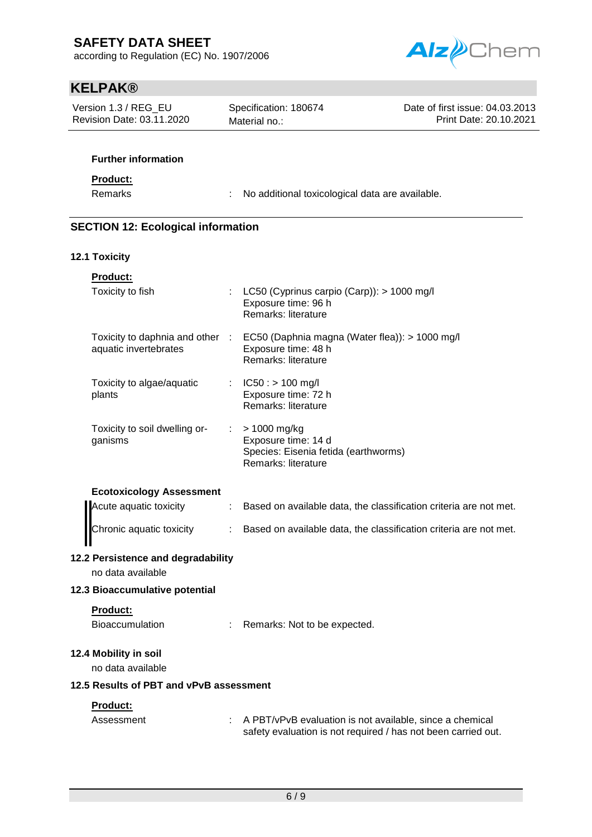according to Regulation (EC) No. 1907/2006



# **KELPAK®**

| Version 1.3 / REG_EU<br>Revision Date: 03.11.2020       | Specification: 180674<br>Material no.: |                                                                                                                           | Date of first issue: 04.03.2013<br>Print Date: 20.10.2021 |
|---------------------------------------------------------|----------------------------------------|---------------------------------------------------------------------------------------------------------------------------|-----------------------------------------------------------|
|                                                         |                                        |                                                                                                                           |                                                           |
| <b>Further information</b>                              |                                        |                                                                                                                           |                                                           |
| Product:                                                |                                        |                                                                                                                           |                                                           |
| Remarks                                                 |                                        | No additional toxicological data are available.                                                                           |                                                           |
| <b>SECTION 12: Ecological information</b>               |                                        |                                                                                                                           |                                                           |
| 12.1 Toxicity                                           |                                        |                                                                                                                           |                                                           |
| Product:                                                |                                        |                                                                                                                           |                                                           |
| Toxicity to fish                                        | ÷.                                     | LC50 (Cyprinus carpio (Carp)): > 1000 mg/l<br>Exposure time: 96 h<br>Remarks: literature                                  |                                                           |
| Toxicity to daphnia and other<br>aquatic invertebrates  | $\sim 100$                             | EC50 (Daphnia magna (Water flea)): > 1000 mg/l<br>Exposure time: 48 h<br>Remarks: literature                              |                                                           |
| Toxicity to algae/aquatic<br>plants                     |                                        | $IC50: > 100$ mg/l<br>Exposure time: 72 h<br>Remarks: literature                                                          |                                                           |
| Toxicity to soil dwelling or-<br>ganisms                | ÷.                                     | > 1000 mg/kg<br>Exposure time: 14 d<br>Species: Eisenia fetida (earthworms)<br>Remarks: literature                        |                                                           |
| <b>Ecotoxicology Assessment</b>                         |                                        |                                                                                                                           |                                                           |
| Acute aquatic toxicity                                  |                                        | Based on available data, the classification criteria are not met.                                                         |                                                           |
| Chronic aquatic toxicity                                | ÷                                      | Based on available data, the classification criteria are not met.                                                         |                                                           |
| 12.2 Persistence and degradability<br>no data available |                                        |                                                                                                                           |                                                           |
| 12.3 Bioaccumulative potential                          |                                        |                                                                                                                           |                                                           |
| Product:                                                |                                        |                                                                                                                           |                                                           |
| Bioaccumulation                                         |                                        | Remarks: Not to be expected.                                                                                              |                                                           |
| 12.4 Mobility in soil<br>no data available              |                                        |                                                                                                                           |                                                           |
| 12.5 Results of PBT and vPvB assessment                 |                                        |                                                                                                                           |                                                           |
| Product:<br>Assessment                                  |                                        | A PBT/vPvB evaluation is not available, since a chemical<br>safety evaluation is not required / has not been carried out. |                                                           |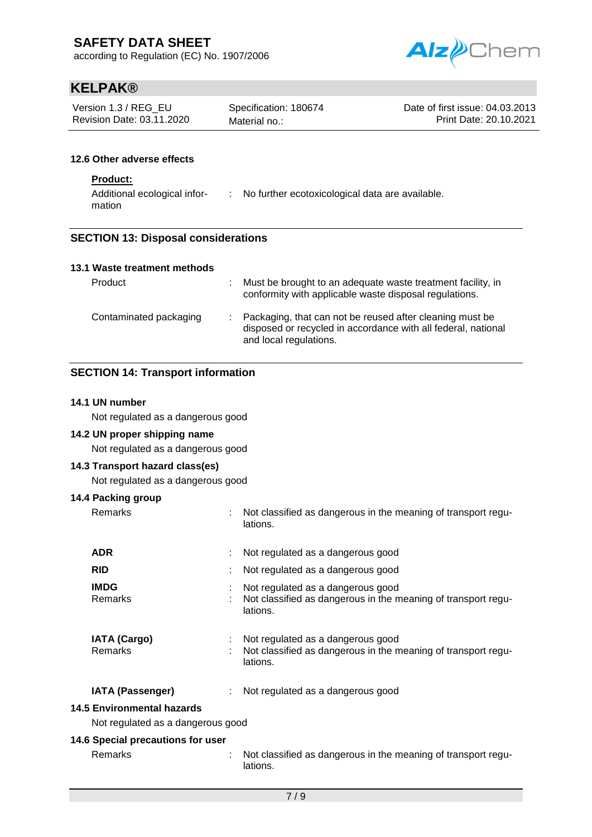according to Regulation (EC) No. 1907/2006



# **KELPAK®**

| Version 1.3 / REG EU      |
|---------------------------|
| Revision Date: 03.11.2020 |

Specification: 180674 Material no.:

Date of first issue: 04.03.2013 Print Date: 20.10.2021

## **12.6 Other adverse effects**

## **Product:**

Additional ecological information : No further ecotoxicological data are available.

## **SECTION 13: Disposal considerations**

| 13.1 Waste treatment methods |                                                                                                                                                       |
|------------------------------|-------------------------------------------------------------------------------------------------------------------------------------------------------|
| Product                      | Must be brought to an adequate waste treatment facility, in<br>conformity with applicable waste disposal regulations.                                 |
| Contaminated packaging       | : Packaging, that can not be reused after cleaning must be<br>disposed or recycled in accordance with all federal, national<br>and local regulations. |

## **SECTION 14: Transport information**

## **14.1 UN number**

Not regulated as a dangerous good

## **14.2 UN proper shipping name**

Not regulated as a dangerous good

## **14.3 Transport hazard class(es)**

Not regulated as a dangerous good

## **14.4 Packing group**

| Remarks                        | Not classified as dangerous in the meaning of transport regu-<br>lations.                                      |
|--------------------------------|----------------------------------------------------------------------------------------------------------------|
| <b>ADR</b>                     | Not regulated as a dangerous good                                                                              |
| <b>RID</b>                     | Not regulated as a dangerous good                                                                              |
| <b>IMDG</b><br>Remarks         | Not regulated as a dangerous good<br>Not classified as dangerous in the meaning of transport regu-<br>lations. |
| <b>IATA (Cargo)</b><br>Remarks | Not regulated as a dangerous good<br>Not classified as dangerous in the meaning of transport regu-<br>lations. |
| <b>IATA (Passenger)</b>        | Not regulated as a dangerous good                                                                              |

## **14.5 Environmental hazards**

Not regulated as a dangerous good

## **14.6 Special precautions for user**

Remarks : Not classified as dangerous in the meaning of transport regulations.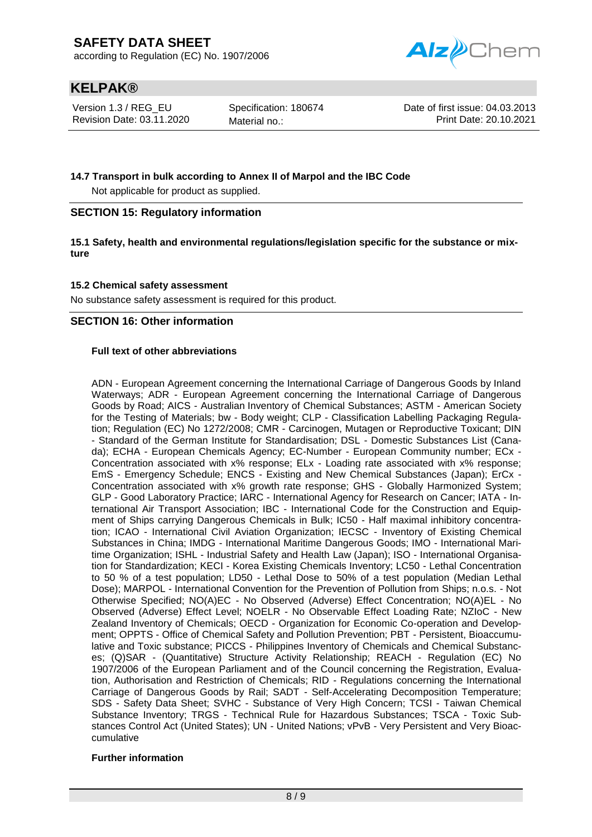according to Regulation (EC) No. 1907/2006



# **KELPAK®**

Version 1.3 / REG\_EU Revision Date: 03.11.2020 Specification: 180674 Material no.:

Date of first issue: 04.03.2013 Print Date: 20.10.2021

## **14.7 Transport in bulk according to Annex II of Marpol and the IBC Code**

Not applicable for product as supplied.

## **SECTION 15: Regulatory information**

**15.1 Safety, health and environmental regulations/legislation specific for the substance or mixture**

## **15.2 Chemical safety assessment**

No substance safety assessment is required for this product.

## **SECTION 16: Other information**

#### **Full text of other abbreviations**

ADN - European Agreement concerning the International Carriage of Dangerous Goods by Inland Waterways; ADR - European Agreement concerning the International Carriage of Dangerous Goods by Road; AICS - Australian Inventory of Chemical Substances; ASTM - American Society for the Testing of Materials; bw - Body weight; CLP - Classification Labelling Packaging Regulation; Regulation (EC) No 1272/2008; CMR - Carcinogen, Mutagen or Reproductive Toxicant; DIN - Standard of the German Institute for Standardisation; DSL - Domestic Substances List (Canada); ECHA - European Chemicals Agency; EC-Number - European Community number; ECx - Concentration associated with x% response; ELx - Loading rate associated with x% response; EmS - Emergency Schedule; ENCS - Existing and New Chemical Substances (Japan); ErCx - Concentration associated with x% growth rate response; GHS - Globally Harmonized System; GLP - Good Laboratory Practice; IARC - International Agency for Research on Cancer; IATA - International Air Transport Association; IBC - International Code for the Construction and Equipment of Ships carrying Dangerous Chemicals in Bulk; IC50 - Half maximal inhibitory concentration; ICAO - International Civil Aviation Organization; IECSC - Inventory of Existing Chemical Substances in China; IMDG - International Maritime Dangerous Goods; IMO - International Maritime Organization; ISHL - Industrial Safety and Health Law (Japan); ISO - International Organisation for Standardization; KECI - Korea Existing Chemicals Inventory; LC50 - Lethal Concentration to 50 % of a test population; LD50 - Lethal Dose to 50% of a test population (Median Lethal Dose); MARPOL - International Convention for the Prevention of Pollution from Ships; n.o.s. - Not Otherwise Specified; NO(A)EC - No Observed (Adverse) Effect Concentration; NO(A)EL - No Observed (Adverse) Effect Level; NOELR - No Observable Effect Loading Rate; NZIoC - New Zealand Inventory of Chemicals; OECD - Organization for Economic Co-operation and Development; OPPTS - Office of Chemical Safety and Pollution Prevention; PBT - Persistent, Bioaccumulative and Toxic substance; PICCS - Philippines Inventory of Chemicals and Chemical Substances; (Q)SAR - (Quantitative) Structure Activity Relationship; REACH - Regulation (EC) No 1907/2006 of the European Parliament and of the Council concerning the Registration, Evaluation, Authorisation and Restriction of Chemicals; RID - Regulations concerning the International Carriage of Dangerous Goods by Rail; SADT - Self-Accelerating Decomposition Temperature; SDS - Safety Data Sheet; SVHC - Substance of Very High Concern; TCSI - Taiwan Chemical Substance Inventory; TRGS - Technical Rule for Hazardous Substances; TSCA - Toxic Substances Control Act (United States); UN - United Nations; vPvB - Very Persistent and Very Bioaccumulative

#### **Further information**